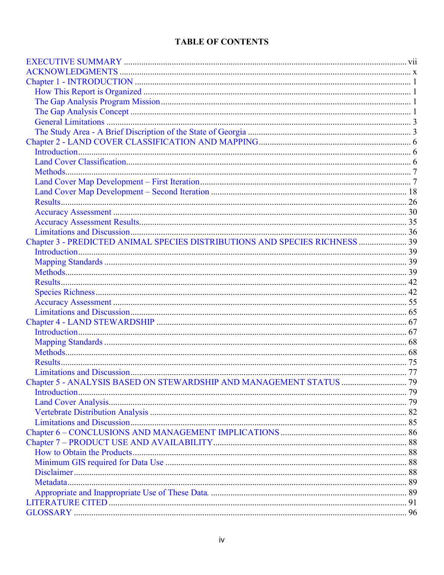## **TABLE OF CONTENTS**

| Chapter 3 - PREDICTED ANIMAL SPECIES DISTRIBUTIONS AND SPECIES RICHNESS  39 |  |
|-----------------------------------------------------------------------------|--|
|                                                                             |  |
|                                                                             |  |
|                                                                             |  |
|                                                                             |  |
|                                                                             |  |
|                                                                             |  |
|                                                                             |  |
|                                                                             |  |
|                                                                             |  |
|                                                                             |  |
|                                                                             |  |
|                                                                             |  |
|                                                                             |  |
|                                                                             |  |
|                                                                             |  |
|                                                                             |  |
|                                                                             |  |
|                                                                             |  |
|                                                                             |  |
|                                                                             |  |
|                                                                             |  |
|                                                                             |  |
|                                                                             |  |
|                                                                             |  |
|                                                                             |  |
|                                                                             |  |
|                                                                             |  |